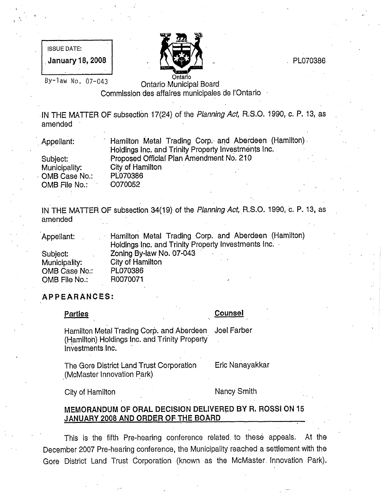ISSUE DATE:  $J$ anuary 18, 2008 |  $\{ \{ \}$   $\}$   $\{ \}$ 



# By-law No. 07-043 **Ontario Municipal Board** Commission des affaires municipales de I'Ontario

IN THE MATTER OF subsection 17(24) of the Planning Act, R.S.O. 1990, c. P. 13, as amended

| Appellant:    | Hamilton Metal Trading Corp. and Aberdeen (Hamilton)<br>Holdings Inc. and Trinity Property Investments Inc. |
|---------------|-------------------------------------------------------------------------------------------------------------|
| Subject:      | Proposed Official Plan Amendment No. 210                                                                    |
| Municipality: | City of Hamilton                                                                                            |
| OMB Case No.: | PL070386                                                                                                    |
| OMB File No.: | O070052                                                                                                     |

IN THE MATTER OF subsection 34(19) of the Planning Act, R.S.O. 1990, c. P. 13, as amended

| Appellant:    | Hamilton Metal Trading Corp. and Aberdeen (Hamilton) |  |  |
|---------------|------------------------------------------------------|--|--|
|               | Holdings Inc. and Trinity Property Investments Inc.  |  |  |
| Subject:      | Zoning By-law No. 07-043                             |  |  |
| Municipality: | City of Hamilton                                     |  |  |
| OMB Case No.: | PL070386                                             |  |  |
| OMB File No.: | R0070071<br>٠                                        |  |  |

# AP PEARA.NCES:

| Hamilton Metal Trading Corp. and Aberdeen Joel Farber<br>(Hamilton) Holdings Inc. and Trinity Property<br>Investments Inc. |  |  |
|----------------------------------------------------------------------------------------------------------------------------|--|--|
|                                                                                                                            |  |  |

Parties **Counsel** 

The Gore District Land Trust Corporation (McMaster Innovation park)

Eric Nanayakkar

City of Hamilton Nancy Smith

# MEMORANDUM OF ORAL DECISION DELIVERED BY R. RQSSI ON 15 JANUARY 2008 AND ORDER OF THE BOARD

This is the fifth Pre-hearing conference related to these appeals. At the December 2007 Pre-hearing conference, the Municipality reached a settlement with the Gore District Land Trust Corporation (known as the McMaster Innovation Park).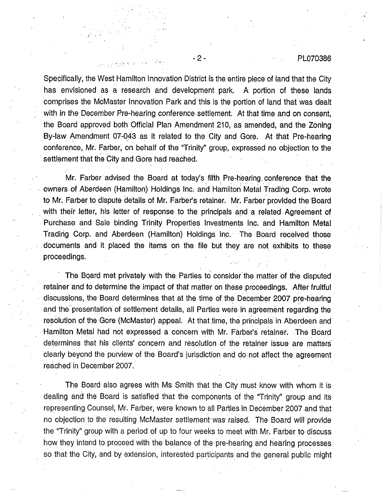## - 2 - PL070386

Specifically, the West Hamilton Innovation District is the entire piece of land that the City has envisioned as a research and development park. A portion of these lands comprises the McMaster Innovation Park and this is the portion of land that was dealt with in the December Pre-hearing conference settlement. At that time and on consent, the Board approved both Official Plan Amendment 210, as amended, and the Zoning • By-law Amendment 07-043 as it related to the City and Gore. At that Pre-hearing conference, Mr. Farber, on behalf of the "Trinity" group, expressed no objection to the settlement that the City and Gore had reached.

4..

Mr. Farber advised the Board at today's fifth Pre-hearing conference that the owners of Aberdeen (Hamilton) Holdings Inc. and Hamilton Metal Trading Corp. wrote to Mr. Farber to dispute details of Mr. Farber's retainer. Mr. Farber provided the Board with their letter, his letter of response to the principals and a related Agreement of Purchase and Sale binding Trinity Properties Investments Inc. and Hamilton Metal Trading Corp. and Aberdeen (Hamilton) Holdings Inc. The Board received those .documents and it placed the items on the file but they are not exhibits to these proceedings.

The Board met privately with the Parties to consider the matter of the disputed retainer and to determine the impact of that matter on these proceedings. After fruitful discussions, the Board determines that at the time of the December 2007 pre-hearing and the presentation of settlement details, all Parties were in agreement regarding the resolution of the Gore (McMaster) appeal. At that time, the principals in Aberdeen and Hamilton Metal had not expressed a concern with Mr. Farber's retainer. •The Board determines that his clients' concern and resolution of the retainer issue are matters clearly beyond the purview of the Board's jurisdiction and do.not affect the agreement reached in December 2007.

The Board also agrees with Ms Smith that the City must know with whom it is dealing and the Board is satisfied that the components of the "Trinity" group and its representing Counsel, Mr. Farber, were known to all Parties in December 2007 and that no objection to the resulting McMaster settlement was raised. The Board will provide the "Trinity" group with a period of up to four weeks to meet with Mr. Farber to discuss how they intend to proceed with the balance of the pre-hearing and hearing processes so that the City, and by extension, interested participants and the general public might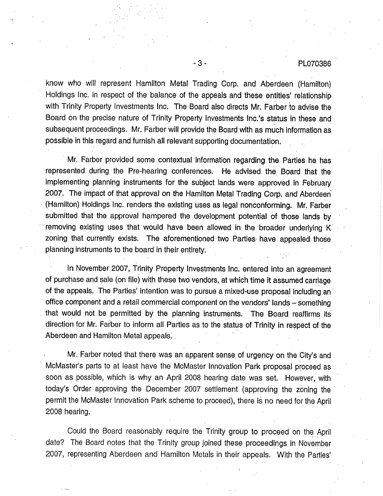# -3- PL070386

know who will represent Hamilton Metal Trading Corp. and Aberdeen (Hamilton) Holdings Inc. in respect of the balance of the appeals and these entities' relationship with Trinity Property Investments Inc. The Board also directs Mr. Farber to advise the Board on the precise nature of Trinity Property Investments Inc.'s status in these and subsequent proceedings. Mr. Farber will provide the Board with as much information as possible in this regard and furnish all relevant supporting documentation. .

Mr. Farber provided some contextual information regarding the Parties. he has represented during the Pre-hearing conferences. He advised the Board that the implementing planning instruments for the subject lands were approved in February 2007. The impact of that approval on the Hamilton Metal Trading Corp. and Aberdeen (Hamilton) Holdings Inc. renders the existing uses as legal nonconforming. Mr. Farber submitted that the approval hampered the development potential of those lands by removing existing uses that would have been allowed in the broader underlying K zoning that currently exists. The aforementioned two Parties have appealed those planning instruments to the board in their entirety. .

In November 2007, Trinity Property Investments Inc. entered into an agreement of purchase and sale (on file) with these two vendors, at which time it assumed carriage of the appeals. The Parties' intention was to pursue a mixed-use proposal including an office component and a retail commercial component on the vendors' lands - Something that would not be permitted by the planning instruments. The Board reaffirms its direction for Mr. Farber to inform all Parties as to the status of Trinity in respect of the Aberdeen and Hamilton Metal appeals.

Mr. Farber noted that there was an apparent sense of urgency on the City's and McMaster's parts to at least have the McMaster Innovation Park proposal proceed as soon as possible, which is why an April 2008 hearing date was set. However, with today's Order approving the December 2007 settlement (approving the zoning the• permit the McMaster Innovation Park scheme to proceed), there is no need for the April 2008 hearing.

Could the Board reasonably require• the Trinity group to proceed on the April date? The Board notes that the Trinity group joined these proceedings in November 2007, representing Aberdeen and Hamilton Metals in their appeals. With the Parties'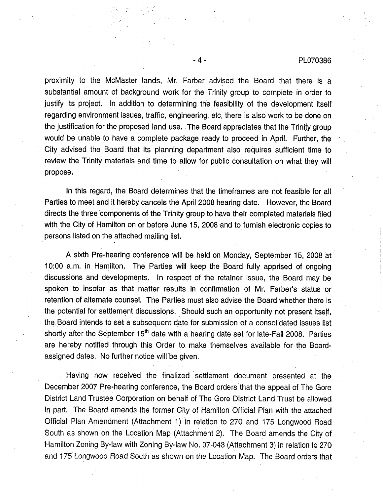#### -4- PL070386

proximity to the McMaster lands, Mr. Farber advised the Board that there is a substantial amount of background work for the Trinity group to complete in order to justify its project. In addition to determining the feasibility of the development itself regarding environment issues, traffic, engineering, etc, there is also work to be done on the justification for the proposed land use. The Board appreciates that the Trinity group would be unable to have a complete package ready to proceed in April. Further, the City advised the Board that its planning department also requires sufficient time to review the Trinity materials and time to allow for public consultation on what they will propose.

In this regard, the Board determines that the timeframes are not feasible for all Parties to meet and it hereby cancels the April 2008 hearing date. However, the Board directs the three components of the Trinity group to have their completed materials filed with the City of Hamilton on or before June 15, 2008 and to furnish electronic copies to persons listed on the attached mailing list.

A sixth Pre-hearing conference will be held on Monday, September 15, 2008 at 10:00 a.m. in Hamilton. The Parties will keep the Board fully apprised of ongoing discussions and developments. In respect of the retainer issue, the Board may be spoken to insofar as that matter results in confirmation of •Mr. Farber's status or retention of alternate counsel. The Parties must also advise the Board whether there is the potential for settlement discussions. Should such an opportunity not present itself, the Board intends to set a subsequent date for submission of a consolidated issues list shortly after the September  $15<sup>th</sup>$  date with a hearing date set for late-Fall 2008. Parties are hereby notified through this Order to make themselves available for the Boardassigned dates. No further notice will be given.

Having now received the finalized settlement document presented at the December 2007 Pre-hearing conference, the Board orders that the appeal of The Gore District Land Trustee Corporation on behalf of The Gore District Land Trust be allowed in part. The Board amends the former City of Hamilton Official Plan with the attached Official Plan Amendment (Attachment 1) in relation to 270 and 175 Longwood Road South as shown on the Location Map (Attachment 2). The Board amends the City of • Hamilton Zoning By-law with Zoning By-law No. 07-043 (Attachment 3) in relation to 270 and 175 Longwood Road South as shown on the Location Map. The Board orders that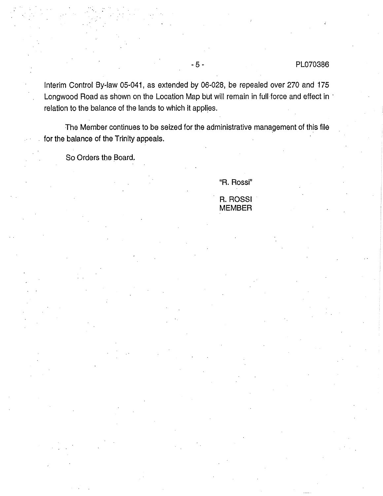# -5- PL070386

Interim Control By-law 05-041, as extended by 06-028, be repealed over 270 and 175 Longwood Road as shown on the Location Map but will remain in full force and effect in ' relation to the balance of the lands to which it applies.

The Member continues to be seized for the administrative management of this file for the balance of the Trinity appeals.

So Orders the Board.

"R. Rossi"

R. ROSSI MEMBER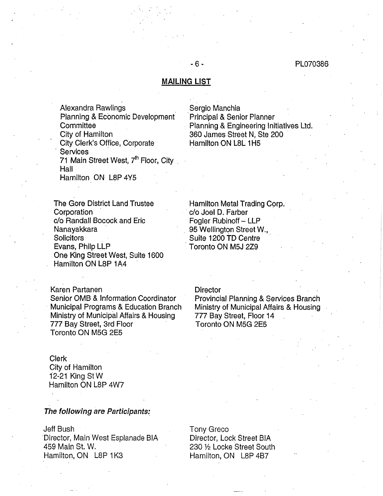#### MAILING LIST

- 6 -

Alexandra Rawlings Planning & Economic Development• **Committee** City of Hamilton City Clerk's Office, Corporate **Services** 71 Main Street West,  $7<sup>th</sup>$  Floor, City Hall

Hamilton ON L8P 4Y5

The Gore District Land Trustee Corporation c/o Randall Bocock and Eric Nanayakkara **Solicitors** Evans, Philp LLP One King Street West, Suite 1600 Hamilton ON L8P 1A4

Karen Partanen Senior OMB & Information Coordinator • Municipal Programs & Education Branch Ministry of Municipal Affairs & Housing 777 Bay Street, 3rd Floor Toronto ON M5G 2E5

Clerk City of Hamilton 12-21 King St W Hamilton ON L8P 4W7

## The following are Participants:

Jeff Bush Director, Main West Esplanade BIA 459 Main St. W. Hamilton, ON L8P 1K3

Sergio Manchia Principal & Senior Planner Planning & Engineering Initiatives Ltd. 360 James Street N, Ste 200 Hamilton ON L8L 1H5

Hamilton Metal Trading Corp.<br>• c/o Joel D. Farber Fogler Rubinoff - LLP 95 Wellington Street W., Suite 1200 TD Centre Toronto ON M5J 2Z9

**Director** 

Provincial Planning & Services Branch Ministry of Municipal Affairs & Housing 777 Bay Street, Floor 14 Toronto ON M5G 2E5

Tony Greco

Director, Lock Street BIA 230 1/2 Locke Street South Hamilton, ON L8P 4B7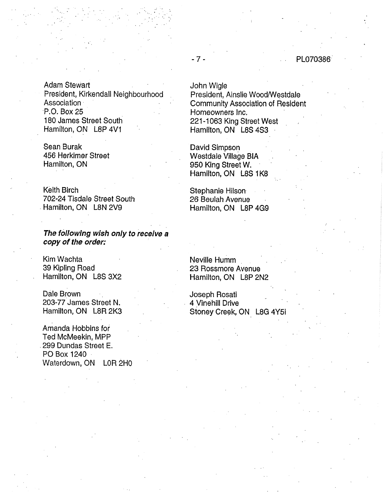# - 7 - • PL070386

Adam Stewart President, Kirkendall Neighbourhood Association· P.O. Box 25 180 James Street South Hamilton, ON L8P 4V1

Sean Burak 456 Herkimer Street Hamilton, ON

Keith Birch 702-24 Tisdale Street South Hamilton, ON L8N 2V9

The following wish only to receive a copy of the order:

Kim Wachta 39 Kipling Road Hamilton, ON L8S 3X2

Dale Brown 203-77 James Street N, Hamilton, ON L8R 2K3

Amanda Hobbins for Ted McMeekin, MPP 299 Dundas Street E. PO Box 1240 Waterdown, ON L0R 2H0 John Wigle

 $\mathbf{r} = \mathbf{r} \times \mathbf{r}$ 

President, Ainslie Wood/Westdale Community Association of Resident Homeowners Inc. 221-1063 King Street West Hamilton, ON L8S 4S3

David Simpson Westdale Village BIA 950 King Street W. Hamilton, ON L8S 1K8

Stephanie Hilson 26 Beulah Avenue Hamilton, ON LSP 4G9

Neville Humm 23 Rossmore Avenue Hamilton, ON L8P 2N2

Joseph Rosati 4 Vinehill Drive Stoney Creek, ON L8G 4Y5i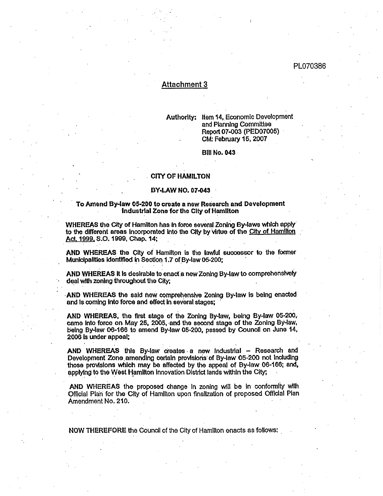## Attachment 3

Authority:. Item 14, Economic Development and Planning Committee Report 07-003 (PED07005) CM: February 15, 2007

Bill No. 043

## CITY OF HAMILTON

#### BY, LAW NO. 07-043

#### To Amend By-law 05-200 to create a new Research and Development Industrial Zone for the City of Hamilton

WHEREAS the City of Hamilton has in force several Zoning By-laws which apply to the different areas incorporated into the City by virtue of the City of Hamilton Act. 1999. S.O. 1999, Chap. 14;

AND WHEREAS the City of Hamilton Is the lawful successor to the former Municipalities Identified in Section 1.7 of By-law 05-200;

AND wHEREAS it Is desirable to enact a new Zoning By-law to comprehensivelY deal with zoning throughout the City;

• AND wHEREAS the said new comprehensive Zoning By.law is being enacted and is coming into force and effect in several stages;

AND wHEREAS, the first stage of the Zoning By-law, being By-law 05-200, came into force on May 25, 2005, and the second stage of the Zoning By-law, being By-law 06-166 to amend By-law 05-200, passed by Council on June 14, 2006 Is under appeal;

AND WHEREAS this By-law creates  $a$  new Industrial  $-$  Research and Development Zone amending certain provisions of By-law 05-200 not including those provisions which may be affected by the appeal of By-law 06-166; and, applying to the West Hamilton Innovation District lands within the City;,

AND WHEREAS the proposed change in zoning will be in conformity with clal Plan for the City of Hamilton upon finalization of proposed Offldal Plan Amendment No. 210.

NOW THEREFORE the Council of the City of Hamllton enacts as follows: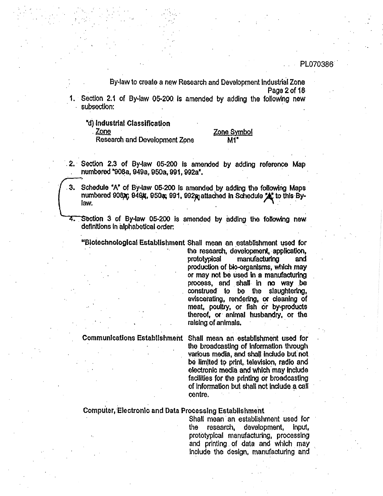By-law to create a new Research and Development Industrial Zone Page 2 of 18

Section 2.1 of By-law 05-200 is amended by adding the following new subsection:

"d) Industrial Classification

Zone

Research and Development Zone

#### Zone Symbol M1'

- 2. Section 2.3 of By-law 05-200 is amended by adding reference Map numbered "908a, 949a, 950a, 991, 992a".
- Schedule "A" of By-law 05-200 is amended by adding the following Maps З. numbered 90826; 9494; 9504; 991, 9929 attached in Schedule 2. to this Bylaw.
- 4. Section 3 of By-law 05-200 is amended by adding the following new definitions in alphabetical order;

"Biotechnological Establishment Shall mean an establishment used for

the research, development, application, prototypical manufacturing and production of bio-organisms, which may or may not be used in a manufacturing process, and shall in no way be construed to be the slaughtering, eviscerating, rendering, or cleaning of meat, poultry, or fish or by-products thereof, or animal husbandry, or the raising of animals.

Communications Establishment Shail mean an establishment used for the broadcasting of information through various media, and shall include but not be limited to print, television, radio and electronic media and which may include facilities for the printing or broadcasting of information but shall not include a call centre.

# Computer, Electronic and Data Processing Establishment

Shall mean an establishment used for research, development, the input, prototypical manufacturing, processing and printing of data and which may include the design, manufacturing and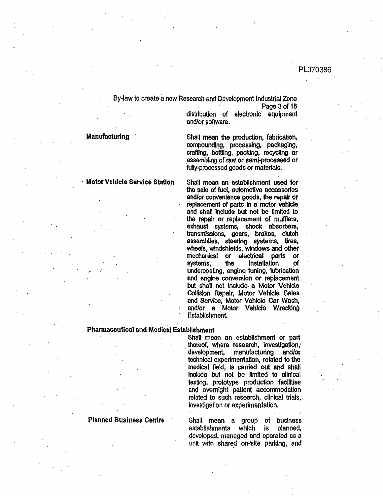By-law to create a new Research and Development Industrial Zone Page 3 of 18

distribution of electronic equipment and/or software.

Manufacturing Shall mean the production, fabrication, compounding, processing, packaging, crafting, bottling, packing, recycling or assembling of raw or semi.processed or fully-processed goods or materials.

Motor Vehicle Service Station Shall mean an establishment used for the sale of fuel, automotive accessories and/or convenience goods, the repair or replacement of parts In a motor vehicle and shall include but not be limited to the repair or replacement of mufflers, exhaust systems, shock absorbers, transmissions, gears, brakes, clutch assemblies, steering systems, tires, wheels, windshields, windows and other mechanical or electrical parts or systems, the installation of undercoating, engine tuning, lubrication and engine conversion or replacement but shall not include, a Motor Vehlde Collision Repalr, Motor Vehicle Sales and Service, Motor Vehicle Car Wash, and/or a Motor Vehlcle Wrecking Establishment.

# Pharmaceutical and Medical Establishment

Shall mean an establishment or part thereof, where research, investigation,' development, manufacturing and/or technical experimentation, related to the medical field, is carried out and shall include but not be limited to clinical testing, prototype, production facilities and overnight patient accommodation related to such research, clinical trials, investigation or experimentation.

Planned Business Centre Shall mean a group of business establishments which is planned, developed, managed and operated as a unit with shared on-site parking, and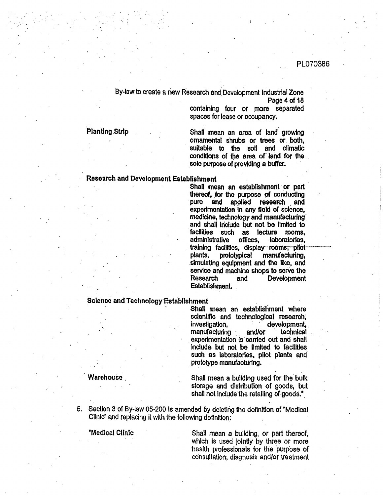By4aw to create a new Research and'Development Industrial Zone Page 4 of 18

containing four or more separated spaces for lease or occupancy,

Planting Strip Shall mean an area of land growing ornamental shrubs or trees or. both, suitable to the soil and climatic conditions of the area of land for the sole purpose of providing a buffer.

#### Research and Development Establishment

Shall mean an establishment or part thereof, for the purpose of conducting pure and applied research and experimentation in any field of science, medldne, technology and manufacturing. and shall include but not be limited to facilities such as. lecture rooms, admlnistrative offices, . laboratories, training facilities, display-rooms, pilotplants, pmtotypical manufacturing, .simulating equipment and the like, and service and machine shops to serve the Research and Development EstablishrnenL .

# Science and Technology Establishment

Shall mean an establishment where sdentifio and technological research; investigation, development,<br>manufacturing and/or technical manufacturing  $\cdot$ experimentation is carried out and shall include but not be limited to facilities such as laboratories, pilot plants and prototype manufacturing.

Warehouse Next Controller Shall mean a building used for the bulk storage and distribution of goods, but shall not include the retailing of goods."

Section 3 of By-law 05.200 is amended by deleting the definition of 'Medical 5. Clinic" and replacing it with the following definition:.

"Medical Clinic Shall<sub>-</sub> mean a building, or part thereof, which is used jointly by three or more health professionals for the purpose of consultation; diagnosis and/or treatment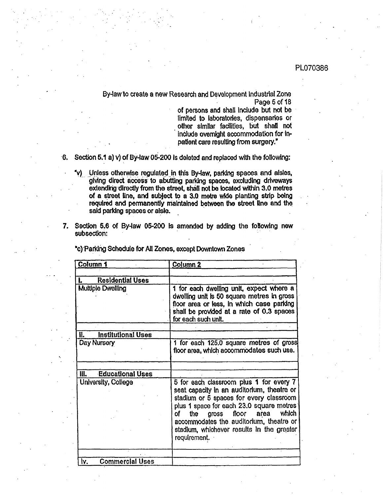By-lawto create a new Research and Development Industrial Zone Page 5 of 18

> of persons and shall Include but not be limited to laboratories, dispensaries or other similar facilities, but shall not include overnight accommodation for inpatient care resulUng from surgery."

- 6. Section 5.1 a) v) of By-law 05-200 is deleted and replaced with the following:
	- 'v) Unless otherwise regulated in this By-law, parking spaces and aisles, giving direct access to abutting parking spaces, excluding driveways extending directly from the street, shall not be located within 3.0 metres of a street line, and subject to a 3.0 metre wide planting strip being required and permanently maintained between the street line and the said parking spaces or aisle.
- 7. Section 5.6 of By-law 05-200 is amended by adding the following new subsection:

| Column <sub>1</sub>              | Column <sub>2</sub>                                                                                                                                                                                                                                                                                                              |
|----------------------------------|----------------------------------------------------------------------------------------------------------------------------------------------------------------------------------------------------------------------------------------------------------------------------------------------------------------------------------|
| <b>Residential Uses</b><br>L.    |                                                                                                                                                                                                                                                                                                                                  |
| <b>Multiple Dwelling</b>         | 1 for each dwelling unit, expect where a<br>dwelling unit is 50 square metres in gross<br>floor area or less, in which case parking<br>shall be provided at a rate of 0.3 spaces<br>for each such unit.                                                                                                                          |
| <b>Institutional Uses</b><br>II. |                                                                                                                                                                                                                                                                                                                                  |
| Day Nursery                      | 1 for each 125.0 square metres of gross<br>floor area, which accommodates such use.                                                                                                                                                                                                                                              |
| <b>Educational Uses</b>          |                                                                                                                                                                                                                                                                                                                                  |
| University, College              | 5 for each classroom plus 1 for every 7<br>seat capacity in an auditorium, theatre or<br>stadium or 5 spaces for every classroom<br>plus 1 space for each 23.0 square metres<br>which<br>gross floor area<br>of a<br>the<br>accommodates the auditorium, theatre or<br>stadium, whichever results in the greater<br>requirement. |
| <b>Commercial Uses</b><br>Ì۷.    |                                                                                                                                                                                                                                                                                                                                  |

"C) Park!lig Schedule for All Zones, except Downtown Zones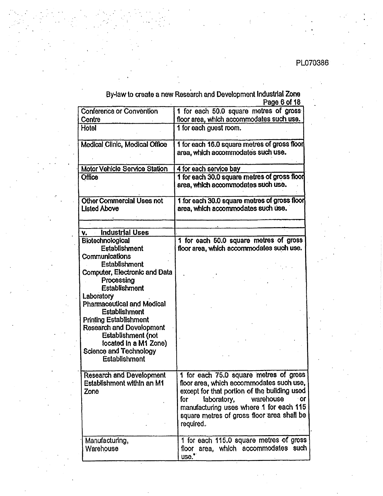By-law to create a new Research and Development Industrial Zone Page 6 of 18

.

| Conference or Convention          | 1 for each 50.0 square metres of gross                                             |
|-----------------------------------|------------------------------------------------------------------------------------|
| Centre                            | floor area, which accommodates such use.                                           |
| Hotel                             | 1 for each guest room.                                                             |
| Medical Clinic, Medical Office    | 1 for each 16.0 square metres of gross floor                                       |
|                                   | area, which accommodates such use.                                                 |
| Motor Vehicle Service Station     | 4 for each service bay                                                             |
| <b>Office</b>                     | 1 for each 30.0 square metres of gross floor<br>area, which accommodates such use. |
| Other Commercial Uses not         | 1 for each 30.0 square metres of gross floor                                       |
| <b>Listed Above</b>               | area, which accommodates such use.                                                 |
| <b>Industrial Uses</b><br>V.      |                                                                                    |
| <b>Biotechnological</b>           | 1 for each 50.0 square metres of gross                                             |
| <b>Establishment</b>              | floor area, which accommodates such use.                                           |
| Communications                    |                                                                                    |
| <b>Establishment</b>              |                                                                                    |
| Computer, Electronic and Data     |                                                                                    |
| Processing                        |                                                                                    |
| <b>Establishment</b>              |                                                                                    |
| Laboratory                        |                                                                                    |
| <b>Pharmaceutical and Medical</b> |                                                                                    |
| <b>Establishment</b>              |                                                                                    |
| <b>Printing Establishment</b>     |                                                                                    |
| <b>Research and Development</b>   |                                                                                    |
| <b>Establishment (not</b>         |                                                                                    |
| located In a M1 Zone)             |                                                                                    |
| <b>Science and Technology</b>     |                                                                                    |
| <b>Establishment</b>              |                                                                                    |
| <b>Research and Development</b>   | 1 for each 75.0 square metres of gross                                             |
| Establishment within an M1        | floor area, which accommodates such use,                                           |
| Zone                              | except for that portion of the building used                                       |
|                                   | warehouse<br>laboratory,<br>for<br>$\circ$                                         |
|                                   | manufacturing uses where 1 for each 115                                            |
|                                   | square metres of gross floor area shall be                                         |
|                                   | required.                                                                          |
| Manufacturing,                    | 1 for each 115.0 square metres of gross                                            |
| Warehouse                         | floor area, which accommodates such                                                |
|                                   | use."                                                                              |
|                                   |                                                                                    |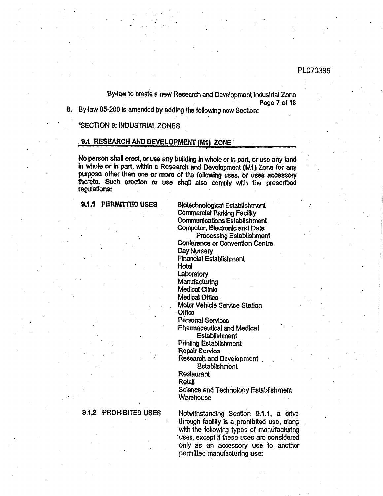By-law to create a new Research and Development Industrial Zone Page 7 of 18

8. By-law 05-200 is amended by adding the following new Section:

"SECTION 9: INDUSTRIAL ZONES

# 9.1 RESEARCH AND DEVELOPMENT (M1) ZONE

No person shall erect, or use any building in whole or in part, or use any land in whole or in part, within a Research and Development (M1) Zone for any purpose other than one or more of the following uses, or uses accessory thereto. Such erection or use shall also comply with the prescribed regulations:

9.1.1 PERMITTED USES

Biotechnological Establishment **Commercial Parking Facility** Communications Establishment Computer, Electronic and Data **Processing Establishment** 

Conference or Convention Centre Day Nursery **Financial Establishment** Hotel

Laboratory

Manufacturing

Medical Clinic

Medical Office. Motor Vehicle Service Station

**Office** 

Personal Services

Pharmaceutical and Medical Establishment

**Printing Establishment** 

**Repair Service** 

**Research and Development** 

Establishment Restaurant

Retail

Science and Technology Establishment Warehouse

#### 9.1.2 PROHIBITED USES

Notwithstanding Section 9.1.1, a drive through facility is a prohibited use, along with the following types of manufacturing uses, except if these uses are considered only as an accessory use to another permitted manufacturing use: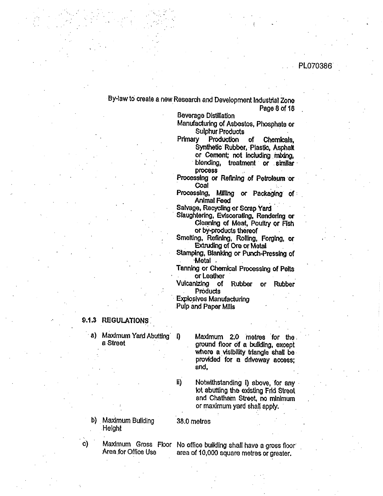# By-law to create a new Research and Development Industrial Zone Page 8 of 18

**Beverage Distillation** 

Manufacturing of Asbestos, Phosphate or Sulphur Products

Production Primary of Chemicals. Synthetic Rubber, Plastic, Asphalt or Cement; not including mbang, blending, treatment or similar **DIOCESS** 

Processing or Refining of Petroleum or Coal

Processing, Milling or Packaging of **Animal Feed** 

Salvage, Recycling or Scrap Yard

Slaughtering, Eviscerating, Rendering or Cleaning of Meat, Poultry or Fish or by-products thereof

Smelting, Refining, Rolling, Forging, or **Extruding of Ore or Metal** 

Stamping, Blanking or Punch-Pressing of **Metal** .

Tanning or Chemical Processing of Pelts or Leather

Vulcanizing of Rubber or Rubber Products

**Explosives Manufacturing** Pulp and Paper Mills

# 9.1.3 REGULATIONS

a) Maximum Yard Abutting - D a Street

Maximum 2.0 metres for the ground floor of a building, except where a visibility triangle shall be provided for a driveway access; and,

Notwithstanding i) above, for any lot abutting the existing Frid Street and Chatham Street, no minimum or maximum yard shall apply.

b) Maximum Building **Height** 

38.0 metres

li)

 $\mathbf{c}$ Area for Office Use

Maximum Gross Floor No office building shall have a gross floor area of 10,000 square metres or greater.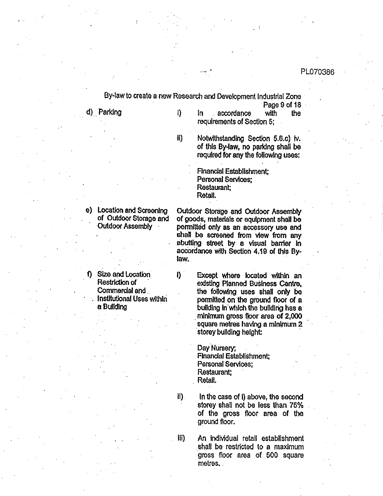By-law to create a new Research and Development Industrial Zone Page 9 of 18 d) Parking  $\mathbf{I}$ In. accordance with the requirements of Section 5;  $\mathbf{ii}$ Notwithstanding Section 5.6.c) iv. of this By-law, no parking shall be required for any the following uses:

> Financial Establishment; Personal Services; Restaurant: Retail.

e) Location and Screening of Outdoor Storage and Outdoor Assembly

Outdoor Storage and Outdoor Assembly of goods, materials or equipment shall be permitted only as an accessory use and shall be screened from view from any abutting street by a visual barrier in accordance with Section 4.19 of this Bylaw.

f) Size and Location Restriction of Commercial and . Institutional Uses within a Building

Except where located within an existing Planned Business Centre. the following uses shall only be permitted on the ground floor of a building in which the building has a minimum gross floor area of 2,000 square metres having a minimum 2 storey building height:

Day Nursery; **Financial Establishment:** Personal Services; Restaurant: Retail.

In the case of i) above, the second storey shall not be less than 75% of the gross floor area of the ground floor.

An individual retail establishment shall be restricted to a maximum gross floor area of 500 square metres.

iii)

II).

i)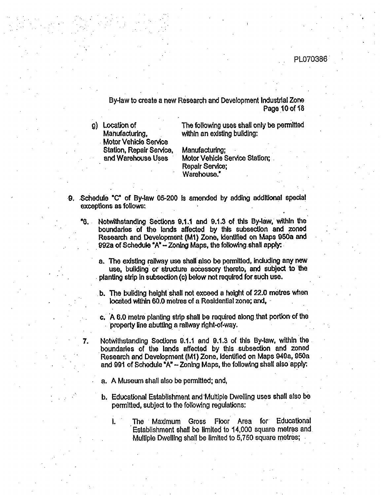# • . PL070386

o

By4aw to create a new Research and Development Industrial Zone Page 10 of  $18$ 

g) Location of Manufacturing, **Motor Vehicle Service** Station, Repair Service, and Warehouse Uses

The following uses shall only be permitted within an existing building:

Manufacturing; Motor Vehlde Service Station; • Repair Service; Warehouse."

- ,Schedule "C" of By-law 05-200 is amended by adding addlt!onal s pscla! exceptions as follows:
	- "6. Notwithstanding Sections 9.1.1 and 9.1.3 of this By-law, within the boundaries Of the lands affected by this subsection and zoned Research and Development (M1) Zone, Identified on Maps 950a and 992a of Schedule "A" $-$  Zoning Maps, the following shall apply:
		- a. The existing railway use shall also be permitted, including any new use, building or structure accessory thereto, and subject to the planting strip in subsection (c) below not required for such use.
		- b. The building height shall not exceed a height of 22.0 metres when located within 60.0 metres of a Residential zone; and,
		- c, 'A 6.0 metre planting strip shall be required along that portion of the property line abutting a railway rlght-of-way.
		- Notwithstanding Sections 0.1.1 and 9.1.3 of fills By4aw, within the boundaries of the lands affected by this subsection and Zoned Research and Development (M!) Zone, Identified on Maps 949a, 950a and 99i of Schedule "A" - Zoning Maps, the following shall also apply:
			- a. A Museum shall also be permitted; and,

°.

7.

- b, Educational Establishment and'Multiple Dwelling uses shall also be permitted, subject to the following regulations:
	- i. The Maximum Gross Floor Area for Educational Establishment shall be limited to 14,000 square metres and. Multiple Dwelling shall be limited to 5,750 square metres;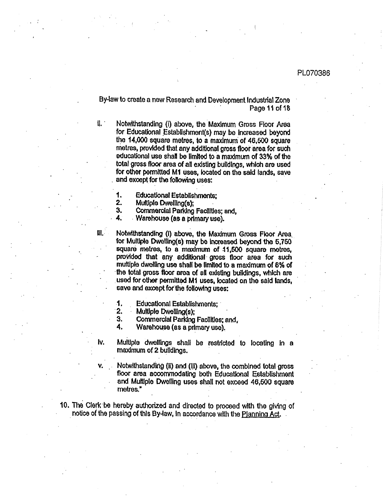By-law to create a new Research and Development Industrial Zone Page 11 of 18

 $\mathbf{II}$ .

 $\mathbf{H}$ .

Notwithstanding (i) above, the Maximum Gross Floor Area for Educational Establishment(s) may be increased beyond the 14,000 square metres, to a maximum of 46,500 square metres, provided that any additional gross floor area for such educational use shall be limited to a maximum of 33% of the total gross floor area of all existing buildings, which are used for other permitted M1 uses, located on the said lands, save and except for the following uses:

- **Educational Establishments:** 1.
- 2. Multiple Dwelling(s);
- 3. Commercial Parking Facilities; and,

4. Warehouse (as a primary use).

Notwithstanding (i) above, the Maximum Gross Floor Area for Multiple Dwelling(s) may be increased beyond the 5,750 square metres, to a maximum of 11,600 square metres, provided that any additional gross floor area for such multiple dwelling use shall be limited to a maximum of 8% of the total gross floor area of all existing buildings, which are used for other permitted M1 uses, located on the said lands, save and except for the following uses:

- 1. **Educational Establishments:**
- $2.$ Multiple Dwelling(s);
- 3. Commercial Parking Facilities; and,

Warehouse (as a primary use). 4.

Multiple dwellings shall be restricted to locating in a Iv. maximum of 2 buildings.

Notwithstanding (ii) and (iii) above, the combined total gross floor area accommodating both Educational Establishment and Multiple Dwelling uses shall not exceed 46,500 square metres."

10. The Clerk be hereby authorized and directed to proceed with the giving of notice of the passing of this By-law, in accordance with the Planning Act.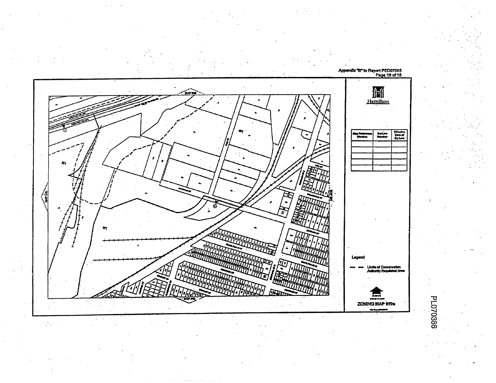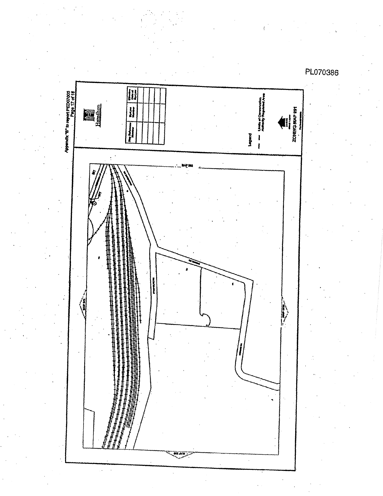